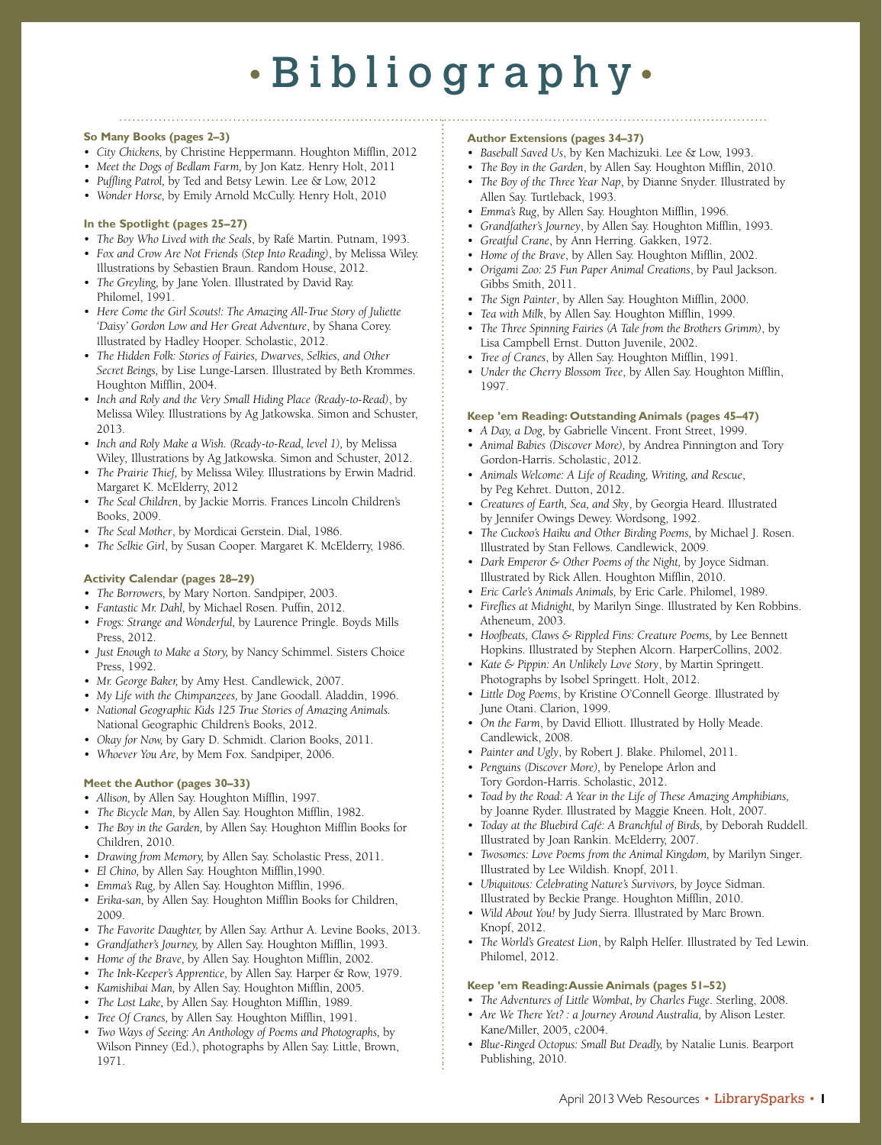# • Bibliography •

## **So Many Books (pages 2–3)**

• *City Chickens,* by Christine Heppermann. Houghton Mifflin, 2012

- *• Meet the Dogs of Bedlam Farm,* by Jon Katz. Henry Holt, 2011
- *• Puffling Patrol,* by Ted and Betsy Lewin. Lee & Low, 2012
- *• Wonder Horse,* by Emily Arnold McCully. Henry Holt, 2010

#### **In the Spotlight (pages 25–27)**

- • *The Boy Who Lived with the Seals*, by Rafé Martin. Putnam, 1993.
- • *Fox and Crow Are Not Friends (Step Into Reading)*, by Melissa Wiley.
- Illustrations by Sebastien Braun. Random House, 2012. • *The Greyling,* by Jane Yolen. Illustrated by David Ray. Philomel, 1991.
- • *Here Come the Girl Scouts!: The Amazing All-True Story of Juliette 'Daisy' Gordon Low and Her Great Adventure*, by Shana Corey. Illustrated by Hadley Hooper. Scholastic, 2012.
- • *The Hidden Folk: Stories of Fairies, Dwarves, Selkies, and Other Secret Beings,* by Lise Lunge-Larsen. Illustrated by Beth Krommes. Houghton Mifflin, 2004.
- • *Inch and Roly and the Very Small Hiding Place (Ready-to-Read)*, by Melissa Wiley. Illustrations by Ag Jatkowska. Simon and Schuster, 2013.
- • *Inch and Roly Make a Wish. (Ready-to-Read, level 1),* by Melissa Wiley*,* Illustrations by Ag Jatkowska. Simon and Schuster, 2012.
- • *The Prairie Thief,* by Melissa Wiley. Illustrations by Erwin Madrid. Margaret K. McElderry, 2012
- • *The Seal Children*, by Jackie Morris. Frances Lincoln Children's Books, 2009.
- • *The Seal Mother*, by Mordicai Gerstein. Dial, 1986.
- • *The Selkie Girl*, by Susan Cooper. Margaret K. McElderry, 1986.

#### **Activity Calendar (pages 28–29)**

- *• The Borrowers,* by Mary Norton. Sandpiper, 2003.
- *• Fantastic Mr. Dahl,* by Michael Rosen. Puffin, 2012.
- *• Frogs: Strange and Wonderful,* by Laurence Pringle. Boyds Mills Press, 2012.
- *• Just Enough to Make a Story,* by Nancy Schimmel. Sisters Choice Press, 1992.
- *• Mr. George Baker,* by Amy Hest. Candlewick, 2007.
- *• My Life with the Chimpanzees,* by Jane Goodall. Aladdin, 1996.
- *• National Geographic Kids 125 True Stories of Amazing Animals.* National Geographic Children's Books, 2012.
- *• Okay for Now,* by Gary D. Schmidt. Clarion Books, 2011.
- *• Whoever You Are,* by Mem Fox. Sandpiper, 2006.

#### **Meet the Author (pages 30–33)**

- • *Allison,* by Allen Say. Houghton Mifflin, 1997.
- • *The Bicycle Man,* by Allen Say. Houghton Mifflin, 1982.
- • *The Boy in the Garden,* by Allen Say. Houghton Mifflin Books for Children, 2010.
- • *Drawing from Memory,* by Allen Say. Scholastic Press, 2011.
- • *El Chino,* by Allen Say. Houghton Mifflin,1990.
- • *Emma's Rug,* by Allen Say. Houghton Mifflin, 1996.
- • *Erika-san,* by Allen Say. Houghton Mifflin Books for Children, 2009.
- • *The Favorite Daughter,* by Allen Say. Arthur A. Levine Books, 2013.
- • *Grandfather's Journey,* by Allen Say. Houghton Mifflin, 1993.
- • *Home of the Brave,* by Allen Say. Houghton Mifflin, 2002.
- • *The Ink-Keeper's Apprentice,* by Allen Say. Harper & Row, 1979.
- • *Kamishibai Man,* by Allen Say. Houghton Mifflin, 2005.
- • *The Lost Lake,* by Allen Say. Houghton Mifflin, 1989.
- • *Tree Of Cranes,* by Allen Say. Houghton Mifflin, 1991.
- • *Two Ways of Seeing: An Anthology of Poems and Photographs,* by Wilson Pinney (Ed.), photographs by Allen Say. Little, Brown, 1971.

#### **Author Extensions (pages 34–37)**

- • *Baseball Saved Us*, by Ken Machizuki. Lee & Low, 1993.
- • *The Boy in the Garden*, by Allen Say. Houghton Mifflin, 2010.
- • *The Boy of the Three Year Nap*, by Dianne Snyder. Illustrated by Allen Say. Turtleback, 1993.

- • *Emma's Rug*, by Allen Say. Houghton Mifflin, 1996.
- • *Grandfather's Journey*, by Allen Say. Houghton Mifflin, 1993.
- • *Greatful Crane*, by Ann Herring. Gakken, 1972.
- • *Home of the Brave*, by Allen Say. Houghton Mifflin, 2002.
- • *Origami Zoo: 25 Fun Paper Animal Creations*, by Paul Jackson. Gibbs Smith, 2011.
- • *The Sign Painter*, by Allen Say. Houghton Mifflin, 2000.
- • *Tea with Milk*, by Allen Say. Houghton Mifflin, 1999.
- • *The Three Spinning Fairies (A Tale from the Brothers Grimm)*, by Lisa Campbell Ernst. Dutton Juvenile, 2002.
- • *Tree of Cranes*, by Allen Say. Houghton Mifflin, 1991.
- • *Under the Cherry Blossom Tree*, by Allen Say. Houghton Mifflin, 1997.

### **Keep 'em Reading: Outstanding Animals (pages 45–47)**

- • *A Day, a Dog*, by Gabrielle Vincent. Front Street, 1999.
- *• Animal Babies (Discover More),* by Andrea Pinnington and Tory Gordon-Harris. Scholastic, 2012.
- • *Animals Welcome: A Life of Reading, Writing, and Rescue*, by Peg Kehret. Dutton, 2012.
- *• Creatures of Earth, Sea, and Sky*, by Georgia Heard. Illustrated by Jennifer Owings Dewey. Wordsong, 1992.
- *• The Cuckoo's Haiku and Other Birding Poems,* by Michael J. Rosen. Illustrated by Stan Fellows. Candlewick, 2009.
- *• Dark Emperor & Other Poems of the Night,* by Joyce Sidman. Illustrated by Rick Allen. Houghton Mifflin, 2010.
- *• Eric Carle's Animals Animals,* by Eric Carle. Philomel, 1989.
- *• Fireflies at Midnight,* by Marilyn Singe. Illustrated by Ken Robbins. Atheneum, 2003.
- *• Hoofbeats, Claws & Rippled Fins: Creature Poems,* by Lee Bennett Hopkins. Illustrated by Stephen Alcorn. HarperCollins, 2002.
- • *Kate & Pippin: An Unlikely Love Story*, by Martin Springett. Photographs by Isobel Springett. Holt, 2012.
- *• Little Dog Poems*, by Kristine O'Connell George. Illustrated by June Otani. Clarion, 1999.
- *• On the Farm*, by David Elliott. Illustrated by Holly Meade. Candlewick, 2008.
- • *Painter and Ugly*, by Robert J. Blake. Philomel, 2011.
- *• Penguins (Discover More),* by Penelope Arlon and Tory Gordon-Harris. Scholastic, 2012.
- *• Toad by the Road: A Year in the Life of These Amazing Amphibians,* by Joanne Ryder. Illustrated by Maggie Kneen. Holt, 2007.
- *• Today at the Bluebird Café: A Branchful of Birds,* by Deborah Ruddell. Illustrated by Joan Rankin. McElderry, 2007.
- *• Twosomes: Love Poems from the Animal Kingdom,* by Marilyn Singer. Illustrated by Lee Wildish. Knopf, 2011.
- *• Ubiquitous: Celebrating Nature's Survivors,* by Joyce Sidman. Illustrated by Beckie Prange. Houghton Mifflin, 2010.
- *Wild About You!* by Judy Sierra. Illustrated by Marc Brown. Knopf, 2012.
- The World's Greatest Lion, by Ralph Helfer. Illustrated by Ted Lewin. Philomel, 2012.

### **Keep 'em Reading: Aussie Animals (pages 51–52)**

- *• The Adventures of Little Wombat, by Charles Fuge*. Sterling, 2008.
- *• Are We There Yet? : a Journey Around Australia,* by Alison Lester. Kane/Miller, 2005, c2004.
- *• Blue-Ringed Octopus: Small But Deadly,* by Natalie Lunis. Bearport Publishing, 2010.